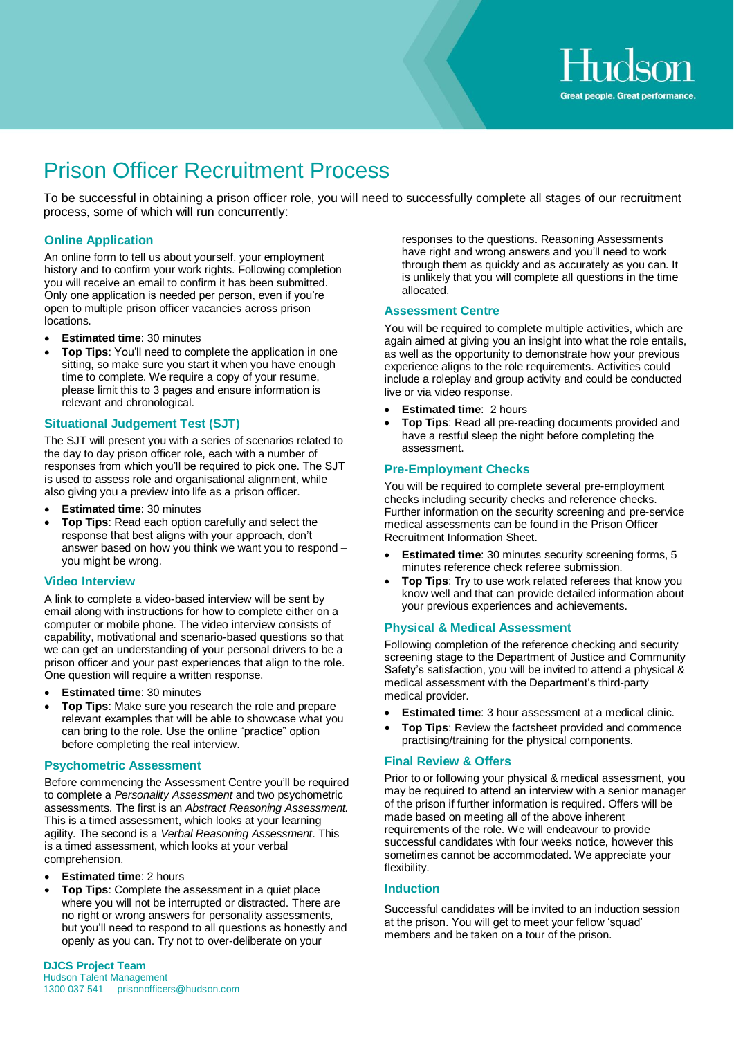# Prison Officer Recruitment Process

To be successful in obtaining a prison officer role, you will need to successfully complete all stages of our recruitment process, some of which will run concurrently:

#### **Online Application**

An online form to tell us about yourself, your employment history and to confirm your work rights. Following completion you will receive an email to confirm it has been submitted. Only one application is needed per person, even if you're open to multiple prison officer vacancies across prison locations.

- **Estimated time: 30 minutes**
- **Top Tips**: You'll need to complete the application in one sitting, so make sure you start it when you have enough time to complete. We require a copy of your resume, please limit this to 3 pages and ensure information is relevant and chronological.

#### **Situational Judgement Test (SJT)**

The SJT will present you with a series of scenarios related to the day to day prison officer role, each with a number of responses from which you'll be required to pick one. The SJT is used to assess role and organisational alignment, while also giving you a preview into life as a prison officer.

- **Estimated time: 30 minutes**
- **Top Tips**: Read each option carefully and select the response that best aligns with your approach, don't answer based on how you think we want you to respond – you might be wrong.

#### **Video Interview**

A link to complete a video-based interview will be sent by email along with instructions for how to complete either on a computer or mobile phone. The video interview consists of capability, motivational and scenario-based questions so that we can get an understanding of your personal drivers to be a prison officer and your past experiences that align to the role. One question will require a written response.

- **Estimated time: 30 minutes**
- **Top Tips**: Make sure you research the role and prepare relevant examples that will be able to showcase what you can bring to the role. Use the online "practice" option before completing the real interview.

#### **Psychometric Assessment**

Before commencing the Assessment Centre you'll be required to complete a *Personality Assessment* and two psychometric assessments. The first is an *Abstract Reasoning Assessment.* This is a timed assessment, which looks at your learning agility. The second is a *Verbal Reasoning Assessment*. This is a timed assessment, which looks at your verbal comprehension.

- **Estimated time**: 2 hours
- **Top Tips**: Complete the assessment in a quiet place where you will not be interrupted or distracted. There are no right or wrong answers for personality assessments, but you'll need to respond to all questions as honestly and openly as you can. Try not to over-deliberate on your

responses to the questions. Reasoning Assessments have right and wrong answers and you'll need to work through them as quickly and as accurately as you can. It is unlikely that you will complete all questions in the time allocated.

#### **Assessment Centre**

You will be required to complete multiple activities, which are again aimed at giving you an insight into what the role entails, as well as the opportunity to demonstrate how your previous experience aligns to the role requirements. Activities could include a roleplay and group activity and could be conducted live or via video response.

- **Estimated time**: 2 hours
- **Top Tips**: Read all pre-reading documents provided and have a restful sleep the night before completing the assessment.

#### **Pre-Employment Checks**

You will be required to complete several pre-employment checks including security checks and reference checks. Further information on the security screening and pre-service medical assessments can be found in the Prison Officer Recruitment Information Sheet.

- **Estimated time**: 30 minutes security screening forms, 5 minutes reference check referee submission.
- **Top Tips:** Try to use work related referees that know you know well and that can provide detailed information about your previous experiences and achievements.

### **Physical & Medical Assessment**

Following completion of the reference checking and security screening stage to the Department of Justice and Community Safety's satisfaction, you will be invited to attend a physical & medical assessment with the Department's third-party medical provider.

- **Estimated time:** 3 hour assessment at a medical clinic.
- **Top Tips**: Review the factsheet provided and commence practising/training for the physical components.

#### **Final Review & Offers**

Prior to or following your physical & medical assessment, you may be required to attend an interview with a senior manager of the prison if further information is required. Offers will be made based on meeting all of the above inherent requirements of the role. We will endeavour to provide successful candidates with four weeks notice, however this sometimes cannot be accommodated. We appreciate your flexibility.

#### **Induction**

Successful candidates will be invited to an induction session at the prison. You will get to meet your fellow 'squad' members and be taken on a tour of the prison.